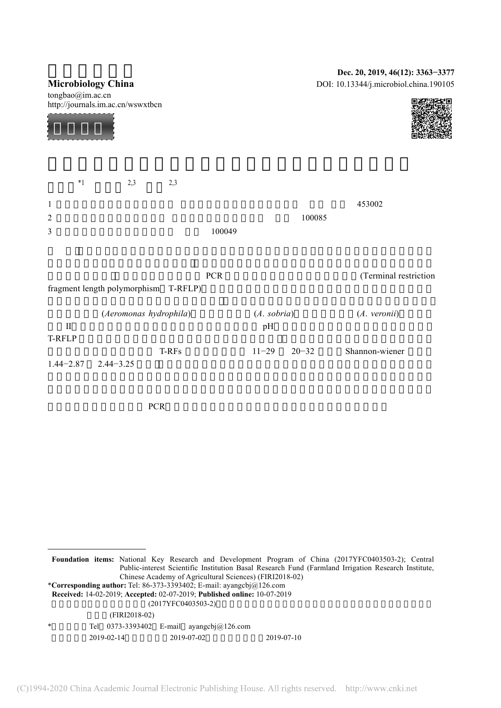|                                                       | Dec. 20, 2019, 46(12): 3363-3377       |
|-------------------------------------------------------|----------------------------------------|
| <b>Microbiology China</b>                             | DOI: 10.13344/j.microbiol.china.190105 |
| tongbao@im.ac.cn<br>http://journals.im.ac.cn/wswxtbcn |                                        |
|                                                       |                                        |

|   | $*_{1}$ | 2,3 | 2,3 |        |        |        |
|---|---------|-----|-----|--------|--------|--------|
|   |         |     |     |        |        | 453002 |
| 2 |         |     |     |        | 100085 |        |
| 3 |         |     |     | 100049 |        |        |
|   |         |     |     |        |        |        |

|               |                                      | <b>PCR</b>             | (Terminal restriction) |
|---------------|--------------------------------------|------------------------|------------------------|
|               | fragment length polymorphism T-RFLP) |                        |                        |
|               | (Aeromonas hydrophila)               | (A. sobria)            | (A. veronii)           |
| П             |                                      | pH                     |                        |
| T-RFLP        |                                      |                        |                        |
|               | T-RFs                                | $11 - 29$<br>$20 - 32$ | Shannon-wiener         |
| $1.44 - 2.87$ | $2.44 - 3.25$                        |                        |                        |

关键词:养殖环境,定量 PCR,末端限制性片段长度多态性,病原微生物,微生物群落

 $\overline{a}$ 

**Foundation items:** National Key Research and Development Program of China (2017YFC0403503-2); Central Public-interest Scientific Institution Basal Research Fund (Farmland Irrigation Research Institute, Chinese Academy of Agricultural Sciences) (FIRI2018-02) \***Corresponding author:** Tel: 86-373-3393402; E-mail: ayangcbj@126.com **Received:** 14-02-2019; **Accepted:** 02-07-2019; **Published online:** 10-07-2019  $(2017YFC0403503-2)$  $(FIRI2018-02)$ Tel  $0373-3393402$  E-mail ayangcbj@126.com 2019-02-14 2019-07-02 2019-07-10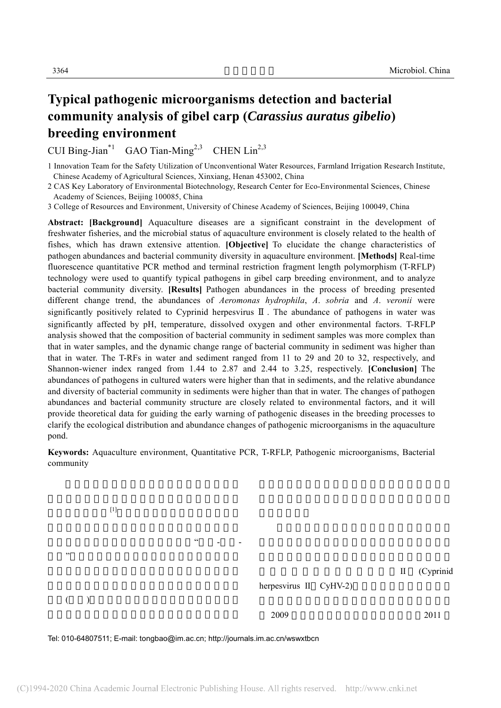# **Typical pathogenic microorganisms detection and bacterial community analysis of gibel carp (***Carassius auratus gibelio***) breeding environment**

CUI Bing-Jian\*1 GAO Tian-Ming<sup>2,3</sup> CHEN  $Lin<sup>2,3</sup>$ 

1 Innovation Team for the Safety Utilization of Unconventional Water Resources, Farmland Irrigation Research Institute, Chinese Academy of Agricultural Sciences, Xinxiang, Henan 453002, China

2 CAS Key Laboratory of Environmental Biotechnology, Research Center for Eco-Environmental Sciences, Chinese Academy of Sciences, Beijing 100085, China

3 College of Resources and Environment, University of Chinese Academy of Sciences, Beijing 100049, China

**Abstract: [Background]** Aquaculture diseases are a significant constraint in the development of freshwater fisheries, and the microbial status of aquaculture environment is closely related to the health of fishes, which has drawn extensive attention. **[Objective]** To elucidate the change characteristics of pathogen abundances and bacterial community diversity in aquaculture environment. **[Methods]** Real-time fluorescence quantitative PCR method and terminal restriction fragment length polymorphism (T-RFLP) technology were used to quantify typical pathogens in gibel carp breeding environment, and to analyze bacterial community diversity. **[Results]** Pathogen abundances in the process of breeding presented different change trend, the abundances of *Aeromonas hydrophila*, *A*. *sobria* and *A*. *veronii* were significantly positively related to Cyprinid herpesvirus . The abundance of pathogens in water was significantly affected by pH, temperature, dissolved oxygen and other environmental factors. T-RFLP analysis showed that the composition of bacterial community in sediment samples was more complex than that in water samples, and the dynamic change range of bacterial community in sediment was higher than that in water. The T-RFs in water and sediment ranged from 11 to 29 and 20 to 32, respectively, and Shannon-wiener index ranged from 1.44 to 2.87 and 2.44 to 3.25, respectively. **[Conclusion]** The abundances of pathogens in cultured waters were higher than that in sediments, and the relative abundance and diversity of bacterial community in sediments were higher than that in water. The changes of pathogen abundances and bacterial community structure are closely related to environmental factors, and it will provide theoretical data for guiding the early warning of pathogenic diseases in the breeding processes to clarify the ecological distribution and abundance changes of pathogenic microorganisms in the aquaculture pond.

**Keywords:** Aquaculture environment, Quantitative PCR, T-RFLP, Pathogenic microorganisms, Bacterial community

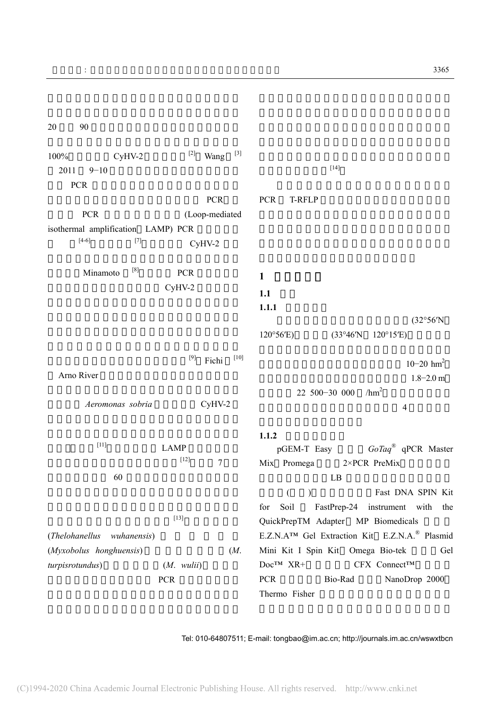$20 \t 90$ 

| 100%            | $CyHV-2$                                                                                                                                                                                                                                                                | $[2]$<br>$[3]$<br>Wang   |                                                                        |
|-----------------|-------------------------------------------------------------------------------------------------------------------------------------------------------------------------------------------------------------------------------------------------------------------------|--------------------------|------------------------------------------------------------------------|
| 2011            | $9 - 10$                                                                                                                                                                                                                                                                |                          | $[14]$                                                                 |
|                 |                                                                                                                                                                                                                                                                         |                          |                                                                        |
| <b>PCR</b>      |                                                                                                                                                                                                                                                                         |                          |                                                                        |
|                 |                                                                                                                                                                                                                                                                         | <b>PCR</b>               | <b>PCR</b><br>T-RFLP                                                   |
|                 | <b>PCR</b>                                                                                                                                                                                                                                                              | (Loop-mediated           |                                                                        |
|                 | isothermal amplification LAMP) PCR                                                                                                                                                                                                                                      |                          |                                                                        |
|                 | $[4-6]$<br>$[7] % \begin{minipage}[b]{0.4\linewidth} \centering \includegraphics[width=\textwidth]{figs/fig_4.pdf} \caption{The 3D (blue) model for the $1$ and 201 (blue) model. The 3D (blue) model for the $1$ and 3D (blue) model.} \label{fig:3d}% \end{minipage}$ | $CyHV-2$                 |                                                                        |
|                 |                                                                                                                                                                                                                                                                         |                          |                                                                        |
|                 | $[8]$                                                                                                                                                                                                                                                                   |                          |                                                                        |
|                 | Minamoto                                                                                                                                                                                                                                                                | <b>PCR</b>               | $\mathbf{1}$                                                           |
|                 |                                                                                                                                                                                                                                                                         | $CyHV-2$                 | 1.1                                                                    |
|                 |                                                                                                                                                                                                                                                                         |                          | 1.1.1                                                                  |
|                 |                                                                                                                                                                                                                                                                         |                          | (32°56'N)                                                              |
|                 |                                                                                                                                                                                                                                                                         |                          |                                                                        |
|                 |                                                                                                                                                                                                                                                                         |                          | $120^{\circ}56'E$<br>(33°46'N)<br>$120^{\circ}15'E$                    |
|                 |                                                                                                                                                                                                                                                                         | $[10]$<br>$[9]$          |                                                                        |
|                 |                                                                                                                                                                                                                                                                         | Fichi                    | $10 - 20$ hm <sup>2</sup>                                              |
| Arno River      |                                                                                                                                                                                                                                                                         |                          | $1.8 - 2.0$ m                                                          |
|                 |                                                                                                                                                                                                                                                                         |                          | /hm <sup>2</sup><br>22 500-30 000                                      |
|                 | Aeromonas sobria                                                                                                                                                                                                                                                        | $CyHV-2$                 | $\overline{4}$                                                         |
|                 |                                                                                                                                                                                                                                                                         |                          |                                                                        |
|                 |                                                                                                                                                                                                                                                                         |                          |                                                                        |
|                 | $[11]$                                                                                                                                                                                                                                                                  |                          | 1.1.2                                                                  |
|                 |                                                                                                                                                                                                                                                                         | <b>LAMP</b>              | GoTaq® qPCR Master<br>pGEM-T Easy                                      |
|                 |                                                                                                                                                                                                                                                                         | $[12]$<br>$\overline{7}$ | Mix Promega<br>2×PCR PreMix                                            |
|                 | 60                                                                                                                                                                                                                                                                      |                          | LB                                                                     |
|                 |                                                                                                                                                                                                                                                                         |                          | Fast DNA SPIN Kit<br>$\left($<br>$\mathcal{L}$                         |
|                 |                                                                                                                                                                                                                                                                         |                          | Soil<br>FastPrep-24 instrument with the<br>for                         |
|                 |                                                                                                                                                                                                                                                                         | $[13]$                   |                                                                        |
|                 |                                                                                                                                                                                                                                                                         |                          | QuickPrepTM Adapter MP Biomedicals                                     |
|                 | (Thelohanellus wuhanensis)                                                                                                                                                                                                                                              |                          | E.Z.N.A <sup>TM</sup> Gel Extraction Kit E.Z.N.A. <sup>®</sup> Plasmid |
|                 | (Myxobolus honghuensis)                                                                                                                                                                                                                                                 | (M.                      | Gel<br>Mini Kit I Spin Kit Omega Bio-tek                               |
| turpisrotundus) |                                                                                                                                                                                                                                                                         | $(M.$ wulii)             | $DocTM$ XR+<br>CFX Connect™                                            |
|                 |                                                                                                                                                                                                                                                                         | PCR                      | Bio-Rad<br>NanoDrop 2000<br><b>PCR</b>                                 |
|                 |                                                                                                                                                                                                                                                                         |                          | Thermo Fisher                                                          |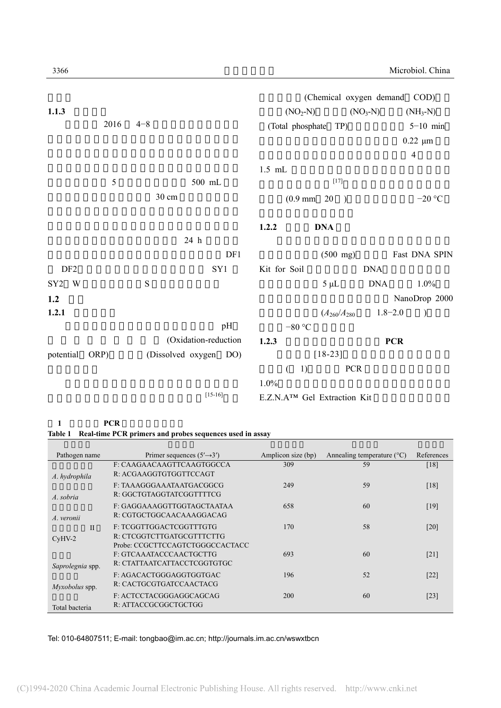|                 |               |                       |                                          |                             | (Chemical oxygen demand COD) |                    |
|-----------------|---------------|-----------------------|------------------------------------------|-----------------------------|------------------------------|--------------------|
| 1.1.3           |               |                       | $(NO2-N)$                                |                             | $(NO3-N)$                    | $(NH_3-N)$         |
|                 | 2016          | $4 - 8$               | (Total phosphate TP)                     |                             |                              | $5\text{--}10$ min |
|                 |               |                       |                                          |                             |                              | $0.22 \mu m$       |
|                 |               |                       |                                          |                             |                              | $\overline{4}$     |
|                 |               |                       | $1.5$ mL                                 |                             |                              |                    |
|                 | $\mathfrak s$ | $500$ mL              |                                          | $[17]$                      |                              |                    |
|                 |               | 30 cm                 |                                          | $(0.9 \text{ mm} \quad 20)$ |                              | $-20$ °C           |
|                 |               |                       | 1.2.2                                    | <b>DNA</b>                  |                              |                    |
|                 |               | 24 h                  |                                          |                             |                              |                    |
|                 |               | DF1                   |                                          | $(500 \text{ mg})$          |                              | Fast DNA SPIN      |
| DF <sub>2</sub> |               | SY1                   | Kit for Soil                             |                             | <b>DNA</b>                   |                    |
| SY2 W           |               | $\mathbf S$           |                                          | $5 \mu L$                   | <b>DNA</b>                   | 1.0%               |
| 1.2             |               |                       |                                          |                             |                              | NanoDrop 2000      |
| 1.2.1           |               |                       |                                          | $(A_{260}/A_{280})$         | $1.8 - 2.0$                  | $\mathcal{E}$      |
|                 |               | pH                    | $-80$ °C                                 |                             |                              |                    |
|                 |               | (Oxidation-reduction  | 1.2.3                                    |                             | <b>PCR</b>                   |                    |
| potential       | ORP)          | (Dissolved oxygen DO) |                                          | $[18-23]$                   |                              |                    |
|                 |               |                       | 1)<br>€                                  | <b>PCR</b>                  |                              |                    |
|                 |               |                       | 1.0%                                     |                             |                              |                    |
|                 |               | $[15-16]$             | E.Z.N.A <sup>TM</sup> Gel Extraction Kit |                             |                              |                    |

## 1 **PCR**

|  |  | Table 1 Real-time PCR primers and probes sequences used in assay |
|--|--|------------------------------------------------------------------|
|  |  |                                                                  |

| Pathogen name    | Primer sequences $(5' \rightarrow 3')$                     | Amplicon size (bp) | Annealing temperature $(^{\circ}C)$ | References         |
|------------------|------------------------------------------------------------|--------------------|-------------------------------------|--------------------|
| A. hydrophila    | F: CAAGAACAAGTTCAAGTGGCCA<br>R: ACGAAGGTGTGGTTCCAGT        | 309                | 59                                  | [18]               |
| A. sobria        | F: TAAAGGGAAATAATGACGGCG<br>R: GGCTGTAGGTATCGGTTTTCG       | 249                | 59                                  | [18]               |
| A. veronii       | F: GAGGAAAGGTTGGTAGCTAATAA<br>R: CGTGCTGGCAACAAAGGACAG     | 658                | 60                                  | [19]               |
| $\mathbf{I}$     | F: TCGGTTGGACTCGGTTTGTG<br>R: CTCGGTCTTGATGCGTTTCTTG       | 170                | 58                                  | $\lceil 20 \rceil$ |
| $CvHV-2$         | Probe: CCGCTTCCAGTCTGGGCCACTACC<br>F: GTCAAATACCCAACTGCTTG | 693                | 60                                  | [21]               |
| Saprolegnia spp. | R: CTATTA ATCATTA CCTCGGTGTGC                              |                    |                                     |                    |
| Myxobolus spp.   | F: AGACACTGGGAGGTGGTGAC<br>R: CACTGCGTGATCCAACTACG         | 196                | 52                                  | [22]               |
| Total bacteria   | F: ACTCCTACGGGAGGCAGCAG<br>R: ATTACCGCGGCTGCTGG            | 200                | 60                                  | [23]               |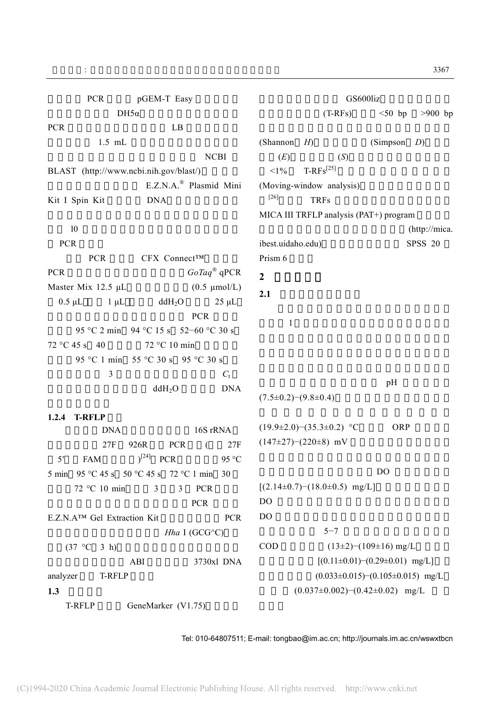| $DH5\alpha$<br>$(T-RFs)$<br>$<$ 50 bp<br>$>900$ bp<br>LB<br>$1.5$ mL<br>(Shannon<br>H <sub>0</sub><br>(Simpson<br>D)<br><b>NCBI</b><br>(E)<br>(S)<br>$T-RFs^{[25]}$<br>$<1\%$<br>BLAST (http://www.ncbi.nih.gov/blast/)<br>E.Z.N.A. <sup>®</sup> Plasmid Mini<br>(Moving-window analysis)<br>$[26]$<br><b>TRFs</b><br><b>DNA</b><br>MICA III TRFLP analysis (PAT+) program<br>10<br>(http://mica.<br><b>PCR</b><br>ibest.uidaho.edu)<br><b>SPSS 20</b><br>Prism 6<br><b>PCR</b><br>CFX Connect™<br>$GoTag^{\circledast} qPCR$<br>$\overline{2}$<br>Master Mix 12.5 µL<br>$(0.5 \text{ \mu} \text{mol/L})$<br>2.1<br>$0.5 \mu L$<br>ddH <sub>2</sub> O<br>$1 \mu L$<br>$25 \mu L$<br><b>PCR</b><br>$\mathbf{1}$<br>95 °C 2 min 94 °C 15 s 52-60 °C 30 s<br>72 °C 45 s 40<br>72 °C 10 min<br>95 °C 1 min 55 °C 30 s 95 °C 30 s<br>3<br>$C_{t}$<br>pH<br><b>DNA</b><br>ddH <sub>2</sub> O<br>$(7.5\pm0.2)-(9.8\pm0.4)$<br>1.2.4<br><b>T-RFLP</b><br>ORP<br>$(19.9\pm2.0)$ $-(35.3\pm0.2)$ °C<br>16S rRNA<br><b>DNA</b><br>$(147\pm27)-(220\pm8)$ mV<br><b>PCR</b><br>27F<br>926R<br>$\left($<br>27F<br>FAM $)^{[24]}$ PCR<br>95 °C<br>5 <sup>'</sup><br>D <sub>O</sub><br>5 min 95 °C 45 s 50 °C 45 s 72 °C 1 min 30<br>$[(2.14\pm0.7)-(18.0\pm0.5)$ mg/L]<br>72 °C 10 min<br>3<br>$\overline{3}$<br><b>PCR</b><br>DO<br><b>PCR</b><br>DO<br>E.Z.N.A <sup>TM</sup> Gel Extraction Kit<br><b>PCR</b><br>$5 - 7$<br>Hha I (GCG $\circ$ C)<br>$(13\pm2)-(109\pm16)$ mg/L<br><b>COD</b><br>$(37 °C \t3 h)$<br>$[(0.11 \pm 0.01) - (0.29 \pm 0.01)$ mg/L]<br>ABI<br>3730xl DNA<br>$(0.033 \pm 0.015)$ - $(0.105 \pm 0.015)$ mg/L<br>T-RFLP<br>analyzer<br>$(0.037 \pm 0.002)$ - $(0.42 \pm 0.02)$ mg/L<br>1.3<br>GeneMarker (V1.75)<br>T-RFLP | <b>PCR</b>     | pGEM-T Easy |  | GS600liz |  |
|---------------------------------------------------------------------------------------------------------------------------------------------------------------------------------------------------------------------------------------------------------------------------------------------------------------------------------------------------------------------------------------------------------------------------------------------------------------------------------------------------------------------------------------------------------------------------------------------------------------------------------------------------------------------------------------------------------------------------------------------------------------------------------------------------------------------------------------------------------------------------------------------------------------------------------------------------------------------------------------------------------------------------------------------------------------------------------------------------------------------------------------------------------------------------------------------------------------------------------------------------------------------------------------------------------------------------------------------------------------------------------------------------------------------------------------------------------------------------------------------------------------------------------------------------------------------------------------------------------------------------------------------------------------------------------------------------------------------------------------|----------------|-------------|--|----------|--|
|                                                                                                                                                                                                                                                                                                                                                                                                                                                                                                                                                                                                                                                                                                                                                                                                                                                                                                                                                                                                                                                                                                                                                                                                                                                                                                                                                                                                                                                                                                                                                                                                                                                                                                                                       |                |             |  |          |  |
|                                                                                                                                                                                                                                                                                                                                                                                                                                                                                                                                                                                                                                                                                                                                                                                                                                                                                                                                                                                                                                                                                                                                                                                                                                                                                                                                                                                                                                                                                                                                                                                                                                                                                                                                       | <b>PCR</b>     |             |  |          |  |
|                                                                                                                                                                                                                                                                                                                                                                                                                                                                                                                                                                                                                                                                                                                                                                                                                                                                                                                                                                                                                                                                                                                                                                                                                                                                                                                                                                                                                                                                                                                                                                                                                                                                                                                                       |                |             |  |          |  |
|                                                                                                                                                                                                                                                                                                                                                                                                                                                                                                                                                                                                                                                                                                                                                                                                                                                                                                                                                                                                                                                                                                                                                                                                                                                                                                                                                                                                                                                                                                                                                                                                                                                                                                                                       |                |             |  |          |  |
|                                                                                                                                                                                                                                                                                                                                                                                                                                                                                                                                                                                                                                                                                                                                                                                                                                                                                                                                                                                                                                                                                                                                                                                                                                                                                                                                                                                                                                                                                                                                                                                                                                                                                                                                       |                |             |  |          |  |
|                                                                                                                                                                                                                                                                                                                                                                                                                                                                                                                                                                                                                                                                                                                                                                                                                                                                                                                                                                                                                                                                                                                                                                                                                                                                                                                                                                                                                                                                                                                                                                                                                                                                                                                                       |                |             |  |          |  |
|                                                                                                                                                                                                                                                                                                                                                                                                                                                                                                                                                                                                                                                                                                                                                                                                                                                                                                                                                                                                                                                                                                                                                                                                                                                                                                                                                                                                                                                                                                                                                                                                                                                                                                                                       | Kit I Spin Kit |             |  |          |  |
|                                                                                                                                                                                                                                                                                                                                                                                                                                                                                                                                                                                                                                                                                                                                                                                                                                                                                                                                                                                                                                                                                                                                                                                                                                                                                                                                                                                                                                                                                                                                                                                                                                                                                                                                       |                |             |  |          |  |
|                                                                                                                                                                                                                                                                                                                                                                                                                                                                                                                                                                                                                                                                                                                                                                                                                                                                                                                                                                                                                                                                                                                                                                                                                                                                                                                                                                                                                                                                                                                                                                                                                                                                                                                                       |                |             |  |          |  |
|                                                                                                                                                                                                                                                                                                                                                                                                                                                                                                                                                                                                                                                                                                                                                                                                                                                                                                                                                                                                                                                                                                                                                                                                                                                                                                                                                                                                                                                                                                                                                                                                                                                                                                                                       |                |             |  |          |  |
|                                                                                                                                                                                                                                                                                                                                                                                                                                                                                                                                                                                                                                                                                                                                                                                                                                                                                                                                                                                                                                                                                                                                                                                                                                                                                                                                                                                                                                                                                                                                                                                                                                                                                                                                       |                |             |  |          |  |
|                                                                                                                                                                                                                                                                                                                                                                                                                                                                                                                                                                                                                                                                                                                                                                                                                                                                                                                                                                                                                                                                                                                                                                                                                                                                                                                                                                                                                                                                                                                                                                                                                                                                                                                                       | <b>PCR</b>     |             |  |          |  |
|                                                                                                                                                                                                                                                                                                                                                                                                                                                                                                                                                                                                                                                                                                                                                                                                                                                                                                                                                                                                                                                                                                                                                                                                                                                                                                                                                                                                                                                                                                                                                                                                                                                                                                                                       |                |             |  |          |  |
|                                                                                                                                                                                                                                                                                                                                                                                                                                                                                                                                                                                                                                                                                                                                                                                                                                                                                                                                                                                                                                                                                                                                                                                                                                                                                                                                                                                                                                                                                                                                                                                                                                                                                                                                       |                |             |  |          |  |
|                                                                                                                                                                                                                                                                                                                                                                                                                                                                                                                                                                                                                                                                                                                                                                                                                                                                                                                                                                                                                                                                                                                                                                                                                                                                                                                                                                                                                                                                                                                                                                                                                                                                                                                                       |                |             |  |          |  |
|                                                                                                                                                                                                                                                                                                                                                                                                                                                                                                                                                                                                                                                                                                                                                                                                                                                                                                                                                                                                                                                                                                                                                                                                                                                                                                                                                                                                                                                                                                                                                                                                                                                                                                                                       |                |             |  |          |  |
|                                                                                                                                                                                                                                                                                                                                                                                                                                                                                                                                                                                                                                                                                                                                                                                                                                                                                                                                                                                                                                                                                                                                                                                                                                                                                                                                                                                                                                                                                                                                                                                                                                                                                                                                       |                |             |  |          |  |
|                                                                                                                                                                                                                                                                                                                                                                                                                                                                                                                                                                                                                                                                                                                                                                                                                                                                                                                                                                                                                                                                                                                                                                                                                                                                                                                                                                                                                                                                                                                                                                                                                                                                                                                                       |                |             |  |          |  |
|                                                                                                                                                                                                                                                                                                                                                                                                                                                                                                                                                                                                                                                                                                                                                                                                                                                                                                                                                                                                                                                                                                                                                                                                                                                                                                                                                                                                                                                                                                                                                                                                                                                                                                                                       |                |             |  |          |  |
|                                                                                                                                                                                                                                                                                                                                                                                                                                                                                                                                                                                                                                                                                                                                                                                                                                                                                                                                                                                                                                                                                                                                                                                                                                                                                                                                                                                                                                                                                                                                                                                                                                                                                                                                       |                |             |  |          |  |
|                                                                                                                                                                                                                                                                                                                                                                                                                                                                                                                                                                                                                                                                                                                                                                                                                                                                                                                                                                                                                                                                                                                                                                                                                                                                                                                                                                                                                                                                                                                                                                                                                                                                                                                                       |                |             |  |          |  |
|                                                                                                                                                                                                                                                                                                                                                                                                                                                                                                                                                                                                                                                                                                                                                                                                                                                                                                                                                                                                                                                                                                                                                                                                                                                                                                                                                                                                                                                                                                                                                                                                                                                                                                                                       |                |             |  |          |  |
|                                                                                                                                                                                                                                                                                                                                                                                                                                                                                                                                                                                                                                                                                                                                                                                                                                                                                                                                                                                                                                                                                                                                                                                                                                                                                                                                                                                                                                                                                                                                                                                                                                                                                                                                       |                |             |  |          |  |
|                                                                                                                                                                                                                                                                                                                                                                                                                                                                                                                                                                                                                                                                                                                                                                                                                                                                                                                                                                                                                                                                                                                                                                                                                                                                                                                                                                                                                                                                                                                                                                                                                                                                                                                                       |                |             |  |          |  |
|                                                                                                                                                                                                                                                                                                                                                                                                                                                                                                                                                                                                                                                                                                                                                                                                                                                                                                                                                                                                                                                                                                                                                                                                                                                                                                                                                                                                                                                                                                                                                                                                                                                                                                                                       |                |             |  |          |  |
|                                                                                                                                                                                                                                                                                                                                                                                                                                                                                                                                                                                                                                                                                                                                                                                                                                                                                                                                                                                                                                                                                                                                                                                                                                                                                                                                                                                                                                                                                                                                                                                                                                                                                                                                       |                |             |  |          |  |
|                                                                                                                                                                                                                                                                                                                                                                                                                                                                                                                                                                                                                                                                                                                                                                                                                                                                                                                                                                                                                                                                                                                                                                                                                                                                                                                                                                                                                                                                                                                                                                                                                                                                                                                                       |                |             |  |          |  |
|                                                                                                                                                                                                                                                                                                                                                                                                                                                                                                                                                                                                                                                                                                                                                                                                                                                                                                                                                                                                                                                                                                                                                                                                                                                                                                                                                                                                                                                                                                                                                                                                                                                                                                                                       |                |             |  |          |  |
|                                                                                                                                                                                                                                                                                                                                                                                                                                                                                                                                                                                                                                                                                                                                                                                                                                                                                                                                                                                                                                                                                                                                                                                                                                                                                                                                                                                                                                                                                                                                                                                                                                                                                                                                       |                |             |  |          |  |
|                                                                                                                                                                                                                                                                                                                                                                                                                                                                                                                                                                                                                                                                                                                                                                                                                                                                                                                                                                                                                                                                                                                                                                                                                                                                                                                                                                                                                                                                                                                                                                                                                                                                                                                                       |                |             |  |          |  |
|                                                                                                                                                                                                                                                                                                                                                                                                                                                                                                                                                                                                                                                                                                                                                                                                                                                                                                                                                                                                                                                                                                                                                                                                                                                                                                                                                                                                                                                                                                                                                                                                                                                                                                                                       |                |             |  |          |  |
|                                                                                                                                                                                                                                                                                                                                                                                                                                                                                                                                                                                                                                                                                                                                                                                                                                                                                                                                                                                                                                                                                                                                                                                                                                                                                                                                                                                                                                                                                                                                                                                                                                                                                                                                       |                |             |  |          |  |
|                                                                                                                                                                                                                                                                                                                                                                                                                                                                                                                                                                                                                                                                                                                                                                                                                                                                                                                                                                                                                                                                                                                                                                                                                                                                                                                                                                                                                                                                                                                                                                                                                                                                                                                                       |                |             |  |          |  |
|                                                                                                                                                                                                                                                                                                                                                                                                                                                                                                                                                                                                                                                                                                                                                                                                                                                                                                                                                                                                                                                                                                                                                                                                                                                                                                                                                                                                                                                                                                                                                                                                                                                                                                                                       |                |             |  |          |  |
|                                                                                                                                                                                                                                                                                                                                                                                                                                                                                                                                                                                                                                                                                                                                                                                                                                                                                                                                                                                                                                                                                                                                                                                                                                                                                                                                                                                                                                                                                                                                                                                                                                                                                                                                       |                |             |  |          |  |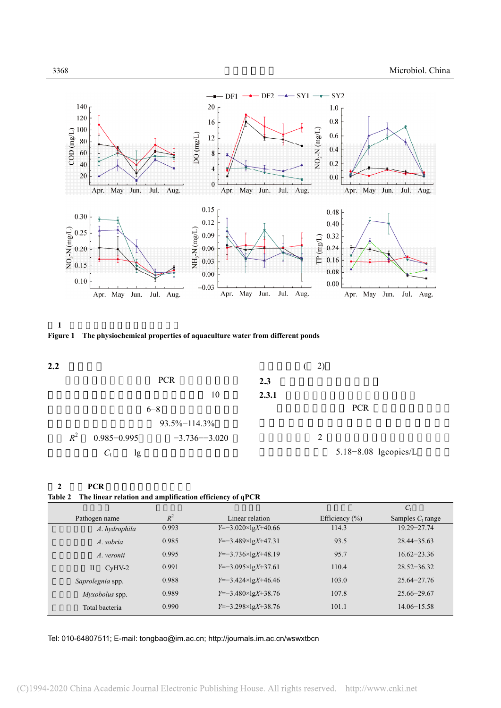





### **2** 定量 **PCR** 扩增线性关系和扩增效率 **Table 2 The linear relation and amplification efficiency of qPCR**

|                          |       |                           |                    | $C_{t}$             |
|--------------------------|-------|---------------------------|--------------------|---------------------|
| Pathogen name            | $R^2$ | Linear relation           | Efficiency $(\% )$ | Samples $C_t$ range |
| A. hydrophila            | 0.993 | $Y=-3.020\times1gX+40.66$ | 114.3              | $19.29 - 27.74$     |
| A. sobria                | 0.985 | $Y=-3.489\times1gX+47.31$ | 93.5               | $28.44 - 35.63$     |
| A. veronii               | 0.995 | $Y=-3.736\times1gX+48.19$ | 95.7               | $16.62 - 23.36$     |
| $\mathbf{I}$<br>$CyHV-2$ | 0.991 | $Y=-3.095\times1gX+37.61$ | 110.4              | $28.52 - 36.32$     |
| Saprolegnia spp.         | 0.988 | $Y=-3.424\times1gX+46.46$ | 103.0              | $25.64 - 27.76$     |
| Myxobolus spp.           | 0.989 | $Y=-3.480\times10X+38.76$ | 107.8              | $25.66 - 29.67$     |
| Total bacteria           | 0.990 | $Y=-3.298\times1gX+38.76$ | 101.1              | $14.06 - 15.58$     |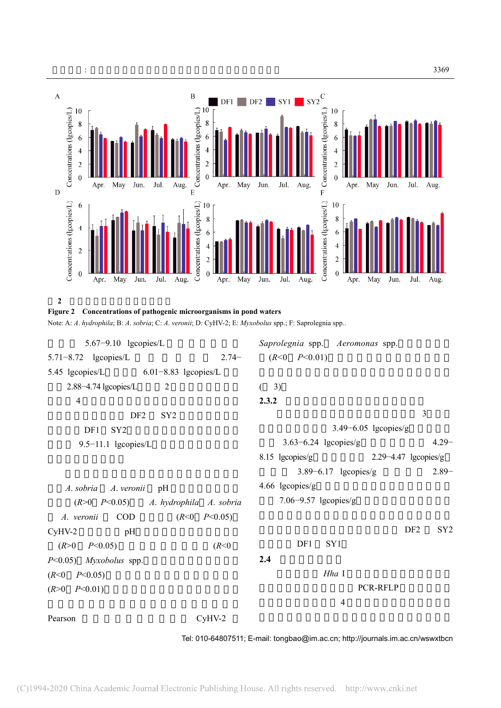



**Figure 2 Concentrations of pathogenic microorganisms in pond waters** 

Note: A: *A*. *hydrophila*; B: *A*. *sobria*; C: *A*. *veronii*; D: CyHV-2; E: *Myxobolus* spp.; F: Saprolegnia spp..

| $5.67 - 9.10$ lgcopies/L                  | Saprolegnia spp. Aeromonas spp.                       |
|-------------------------------------------|-------------------------------------------------------|
| $5.71 - 8.72$ lgcopies/L<br>$2.74-$       | $(R<0$ $P<0.01)$                                      |
| 5.45 lgcopies/L 6.01-8.83 lgcopies/L      |                                                       |
| 2.88-4.74 lgcopies/L<br>2                 | 3)                                                    |
| $\overline{4}$                            | 2.3.2                                                 |
| DF <sub>2</sub><br>SY <sub>2</sub>        | 3                                                     |
| DF1<br>SY <sub>2</sub>                    | $3.49 - 6.05$ lgcopies/g                              |
| 9.5-11.1 lgcopies/L                       | $4.29 -$<br>$3.63 - 6.24$ lgcopies/g                  |
|                                           | $8.15 \text{ Igcopies/g}$<br>$2.29 - 4.47$ lgcopies/g |
|                                           | $3.89 - 6.17$ lgcopies/g<br>$2.89 -$                  |
| A. sobria A. veronii<br>pH                | 4.66 $lgcopies/g$                                     |
| $(R>0$ $P<0.05$ ) A. hydrophila A. sobria | 7.06–9.57 lgcopies/g                                  |
| A. veronii COD<br>$(R<0$ $P<0.05)$        |                                                       |
| $CyHV-2$<br>pH                            | DF <sub>2</sub><br>SY <sub>2</sub>                    |
| $(R>0$ $P<0.05)$<br>(R<0)                 | DF1<br>SY <sub>1</sub>                                |
| $P<0.05$ ) Myxobolus spp.                 | 2.4                                                   |
| $(R<0$ $P<0.05)$                          | Hha I                                                 |
| $(R>0$ $P<0.01$ )                         | <b>PCR-RFLP</b>                                       |
|                                           | $\overline{4}$                                        |
| $CyHV-2$<br>Pearson                       |                                                       |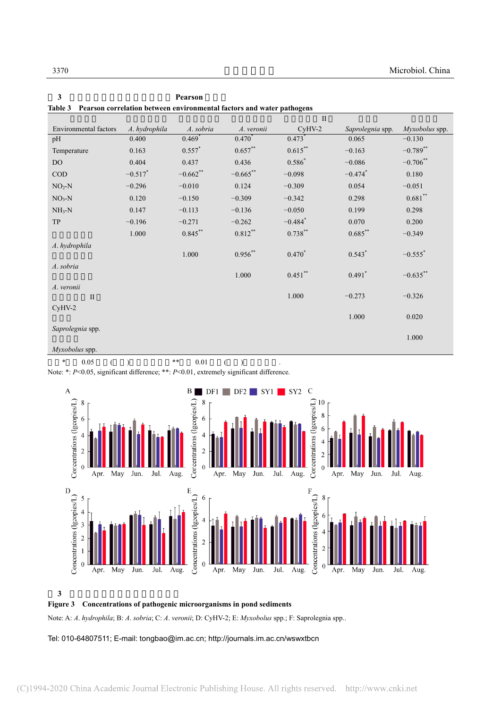| гание э                                |               |                      | <b>Fearson Correlation between environmental factors and water pathogens</b> |                       |                       |                       |
|----------------------------------------|---------------|----------------------|------------------------------------------------------------------------------|-----------------------|-----------------------|-----------------------|
|                                        |               |                      |                                                                              | $\mathbf{I}$          |                       |                       |
| Environmental factors                  | A. hydrophila | A. sobria            | A. veronii                                                                   | $CyHV-2$              | Saprolegnia spp.      | Myxobolus spp.        |
| pH                                     | 0.400         | $0.469$ <sup>*</sup> | $0.470^*$                                                                    | $0.473$ <sup>*</sup>  | 0.065                 | $-0.130$              |
| Temperature                            | 0.163         | $0.557$ *            | $0.657**$                                                                    | $0.615***$            | $-0.163$              | $-0.789$ **           |
| <b>DO</b>                              | 0.404         | 0.437                | 0.436                                                                        | $0.586*$              | $-0.086$              | $-0.706$ **           |
| $\rm COD$                              | $-0.517$ *    | $-0.662$ **          | $-0.665$ **                                                                  | $-0.098$              | $-0.474$ <sup>*</sup> | 0.180                 |
| $NO2-N$                                | $-0.296$      | $-0.010$             | 0.124                                                                        | $-0.309$              | 0.054                 | $-0.051$              |
| $NO3-N$                                | 0.120         | $-0.150$             | $-0.309$                                                                     | $-0.342$              | 0.298                 | $0.681$ **            |
| $NH3-N$                                | 0.147         | $-0.113$             | $-0.136$                                                                     | $-0.050$              | 0.199                 | 0.298                 |
| TP                                     | $-0.196$      | $-0.271$             | $-0.262$                                                                     | $-0.484$ <sup>*</sup> | 0.070                 | 0.200                 |
|                                        | 1.000         | $0.845***$           | $0.812***$                                                                   | $0.738***$            | $0.685***$            | $-0.349$              |
| A. hydrophila                          |               | $1.000\,$            | $0.956**$                                                                    | $0.470*$              | $0.543*$              | $-0.555$ <sup>*</sup> |
| A. sobria                              |               |                      |                                                                              |                       |                       |                       |
|                                        |               |                      | $1.000\,$                                                                    | $0.451$ **            | $0.491$ <sup>*</sup>  | $-0.635***$           |
| A. veronii                             |               |                      |                                                                              |                       |                       |                       |
| $\mathbf{I}$                           |               |                      |                                                                              | 1.000                 | $-0.273$              | $-0.326$              |
| $CyHV-2$                               |               |                      |                                                                              |                       | $1.000\,$             | 0.020                 |
|                                        |               |                      |                                                                              |                       |                       |                       |
| Saprolegnia spp.                       |               |                      |                                                                              |                       |                       | 1.000                 |
| $\lambda$ <i>L</i> $\lambda$ $\lambda$ |               |                      |                                                                              |                       |                       |                       |

**3** 水体环境因子与病原菌之间的 **Pearson** 相关性 **Table 3 Pearson correlation between environmental factors and water pathogens** 

*Myxobolus* spp.

 $\ast$  0.05 ()  $\ast$  0.01 () .

Note: \*: *P*<0.05, significant difference; \*\*: *P*<0.01, extremely significant difference.



**3** 养殖池塘沉积物病原微生物丰度

**Figure 3 Concentrations of pathogenic microorganisms in pond sediments** 

Note: A: *A*. *hydrophila*; B: *A*. *sobria*; C: *A*. *veronii*; D: CyHV-2; E: *Myxobolus* spp.; F: Saprolegnia spp..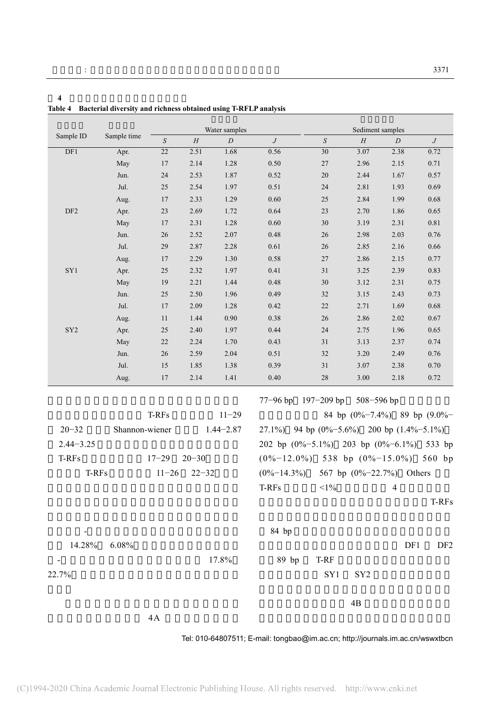**4** 养殖水体和沉积物细菌多样性指数

| Table 4 Bacterial diversity and richness obtained using T-RFLP analysis |                |                 |               |               |                  |                                                       |                  |                              |                  |  |
|-------------------------------------------------------------------------|----------------|-----------------|---------------|---------------|------------------|-------------------------------------------------------|------------------|------------------------------|------------------|--|
|                                                                         |                |                 | Water samples |               |                  |                                                       | Sediment samples |                              |                  |  |
| Sample ID                                                               | Sample time    | ${\cal S}$      | $\cal H$      | D             | $\boldsymbol{J}$ | $\boldsymbol{S}$                                      | $\cal H$         | $\cal D$                     | $\boldsymbol{J}$ |  |
| DF1                                                                     | Apr.           | $\overline{22}$ | 2.51          | 1.68          | 0.56             | $\overline{30}$                                       | 3.07             | 2.38                         | 0.72             |  |
|                                                                         | May            | $17$            | 2.14          | 1.28          | 0.50             | $27\,$                                                | 2.96             | 2.15                         | 0.71             |  |
|                                                                         | Jun.           | 24              | 2.53          | 1.87          | 0.52             | 20                                                    | 2.44             | 1.67                         | 0.57             |  |
|                                                                         | Jul.           | 25              | 2.54          | 1.97          | 0.51             | 24                                                    | 2.81             | 1.93                         | 0.69             |  |
|                                                                         | Aug.           | $17\,$          | 2.33          | 1.29          | 0.60             | 25                                                    | 2.84             | 1.99                         | 0.68             |  |
| DF <sub>2</sub>                                                         | Apr.           | 23              | 2.69          | 1.72          | 0.64             | 23                                                    | 2.70             | 1.86                         | 0.65             |  |
|                                                                         | May            | 17              | 2.31          | 1.28          | 0.60             | 30                                                    | 3.19             | 2.31                         | $0.81\,$         |  |
|                                                                         | Jun.           | 26              | 2.52          | 2.07          | 0.48             | 26                                                    | 2.98             | 2.03                         | $0.76\,$         |  |
|                                                                         | Jul.           | $29\,$          | 2.87          | 2.28          | 0.61             | 26                                                    | 2.85             | 2.16                         | 0.66             |  |
|                                                                         | Aug.           | $17\,$          | 2.29          | 1.30          | 0.58             | $27\,$                                                | 2.86             | 2.15                         | 0.77             |  |
| ${\rm SY1}$                                                             | Apr.           | 25              | 2.32          | 1.97          | 0.41             | $31\,$                                                | 3.25             | 2.39                         | 0.83             |  |
|                                                                         | May            | 19              | 2.21          | 1.44          | 0.48             | 30                                                    | 3.12             | 2.31                         | 0.75             |  |
|                                                                         | Jun.           | 25              | 2.50          | 1.96          | 0.49             | 32                                                    | 3.15             | 2.43                         | 0.73             |  |
|                                                                         | Jul.           | $17\,$          | 2.09          | 1.28          | 0.42             | $22\,$                                                | 2.71             | 1.69                         | $0.68\,$         |  |
|                                                                         | Aug.           | $11\,$          | 1.44          | 0.90          | 0.38             | 26                                                    | 2.86             | 2.02                         | $0.67\,$         |  |
| ${\rm SY2}$                                                             | Apr.           | $25\,$          | 2.40          | 1.97          | 0.44             | $24\,$                                                | 2.75             | 1.96                         | 0.65             |  |
|                                                                         | May            | 22              | 2.24          | 1.70          | 0.43             | 31                                                    | 3.13             | 2.37                         | 0.74             |  |
|                                                                         | Jun.           | 26              | 2.59          | 2.04          | 0.51             | 32                                                    | 3.20             | 2.49                         | 0.76             |  |
|                                                                         | Jul.           | $15\,$          | 1.85          | 1.38          | 0.39             | 31                                                    | 3.07             | 2.38                         | $0.70\,$         |  |
|                                                                         | Aug.           | 17              | 2.14          | 1.41          | 0.40             | 28                                                    | 3.00             | 2.18                         | 0.72             |  |
|                                                                         |                |                 |               |               |                  | 77-96 bp 197-209 bp 508-596 bp                        |                  |                              |                  |  |
|                                                                         |                | T-RFs           |               | $11 - 29$     |                  |                                                       |                  | 84 bp (0%-7.4%) 89 bp (9.0%- |                  |  |
| $20 - 32$                                                               | Shannon-wiener |                 |               | $1.44 - 2.87$ |                  | 27.1%) 94 bp $(0\% - 5.6\%)$ 200 bp $(1.4\% - 5.1\%)$ |                  |                              |                  |  |
| $2.44 - 3.25$                                                           |                |                 |               |               |                  | 202 bp (0%-5.1%) 203 bp (0%-6.1%) 533 bp              |                  |                              |                  |  |
| T-RFs                                                                   |                | $17 - 29$       | $20 - 30$     |               |                  | $(0\% - 12.0\%)$ 538 bp $(0\% - 15.0\%)$              |                  |                              | 560 bp           |  |
|                                                                         |                |                 |               |               |                  |                                                       |                  |                              |                  |  |
| T-RFs                                                                   |                | $11 - 26$       | $22 - 32$     |               | $(0\% - 14.3\%)$ | $<$ 1%                                                |                  | 567 bp $(0\%-22.7\%)$ Others |                  |  |
|                                                                         |                |                 |               |               | T-RFs            |                                                       |                  | 4                            | T-RFs            |  |
|                                                                         |                |                 |               |               |                  |                                                       |                  |                              |                  |  |
|                                                                         |                |                 |               |               | 84 bp            |                                                       |                  |                              |                  |  |
| 14.28%                                                                  | 6.08%          |                 |               |               |                  |                                                       |                  | DF1                          | DF <sub>2</sub>  |  |
|                                                                         |                |                 |               | 17.8%         | 89 bp            | T-RF                                                  |                  |                              |                  |  |
| 22.7%                                                                   |                |                 |               |               |                  | SY1                                                   | SY <sub>2</sub>  |                              |                  |  |
|                                                                         |                |                 |               |               |                  |                                                       |                  |                              |                  |  |
|                                                                         |                |                 |               |               |                  |                                                       | 4B               |                              |                  |  |
|                                                                         |                | $4A$            |               |               |                  |                                                       |                  |                              |                  |  |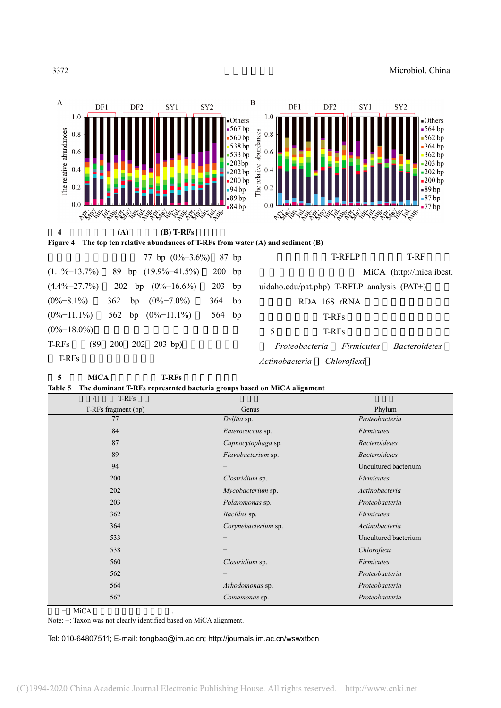

|                  |                                          |          | $\binom{n}{1}, \ldots$ $\binom{n}{r}$ $\binom{n}{r}$ $\binom{n}{r}$ $\binom{n}{r}$ $\binom{n}{r}$ $\binom{n}{r}$ $\binom{n}{r}$ $\binom{n}{r}$ $\binom{n}{r}$ $\binom{n}{r}$ $\binom{n}{r}$ $\binom{n}{r}$ $\binom{n}{r}$ $\binom{n}{r}$ $\binom{n}{r}$ $\binom{n}{r}$ $\binom{n}{r}$ $\binom{n}{r}$ $\binom{n}{r}$ $\binom{n}{r}$ $\binom{n}{r}$ |
|------------------|------------------------------------------|----------|---------------------------------------------------------------------------------------------------------------------------------------------------------------------------------------------------------------------------------------------------------------------------------------------------------------------------------------------------|
|                  | $(0\% - 8.1\%)$ 362 bp $(0\% - 7.0\%)$   | $364$ bp | RDA 16S RNA                                                                                                                                                                                                                                                                                                                                       |
|                  | $(0\% - 11.1\%)$ 562 bp $(0\% - 11.1\%)$ | 564 bp   | T-RFs                                                                                                                                                                                                                                                                                                                                             |
| $(0\% - 18.0\%)$ |                                          |          | T-RFs                                                                                                                                                                                                                                                                                                                                             |
| T-RFs            | $(89 \t200 \t202 \t203 \text{ bp})$      |          | Proteobacteria Firmicutes<br><i>Bacteroidetes</i>                                                                                                                                                                                                                                                                                                 |
| T-RFs            |                                          |          | Actinobacteria Chloroflexi                                                                                                                                                                                                                                                                                                                        |

**5 MiCA T-RFs** 

**Table 5 The dominant T-RFs represented bacteria groups based on MiCA alignment** 

| T-RFs               |                     |                      |
|---------------------|---------------------|----------------------|
| T-RFs fragment (bp) | Genus               | Phylum               |
| 77                  | Delftia sp.         | Proteobacteria       |
| 84                  | Enterococcus sp.    | <b>Firmicutes</b>    |
| 87                  | Capnocytophaga sp.  | <b>Bacteroidetes</b> |
| 89                  | Flavobacterium sp.  | <b>Bacteroidetes</b> |
| 94                  |                     | Uncultured bacterium |
| 200                 | Clostridium sp.     | <b>Firmicutes</b>    |
| 202                 | Mycobacterium sp.   | Actinobacteria       |
| 203                 | Polaromonas sp.     | Proteobacteria       |
| 362                 | Bacillus sp.        | <b>Firmicutes</b>    |
| 364                 | Corynebacterium sp. | Actinobacteria       |
| 533                 |                     | Uncultured bacterium |
| 538                 |                     | Chloroflexi          |
| 560                 | Clostridium sp.     | <b>Firmicutes</b>    |
| 562                 |                     | Proteobacteria       |
| 564                 | Arhodomonas sp.     | Proteobacteria       |
| 567                 | Comamonas sp.       | Proteobacteria       |

− MiCA

Note: −: Taxon was not clearly identified based on MiCA alignment.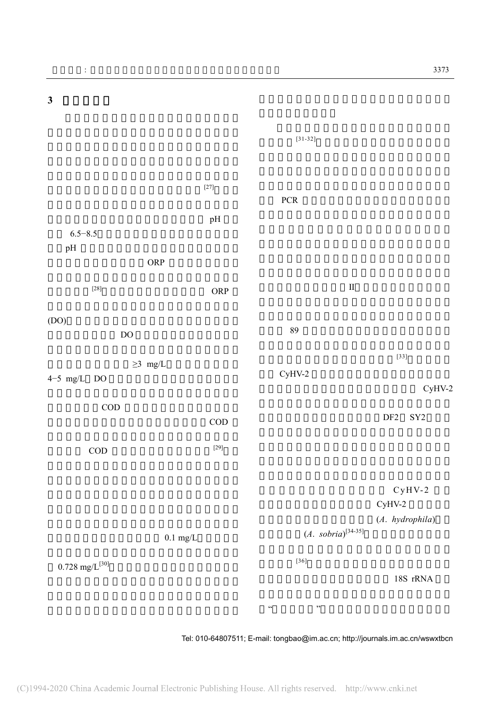

Tel: 010-64807511; E-mail: tongbao@im.ac.cn; http://journals.im.ac.cn/wswxtbcn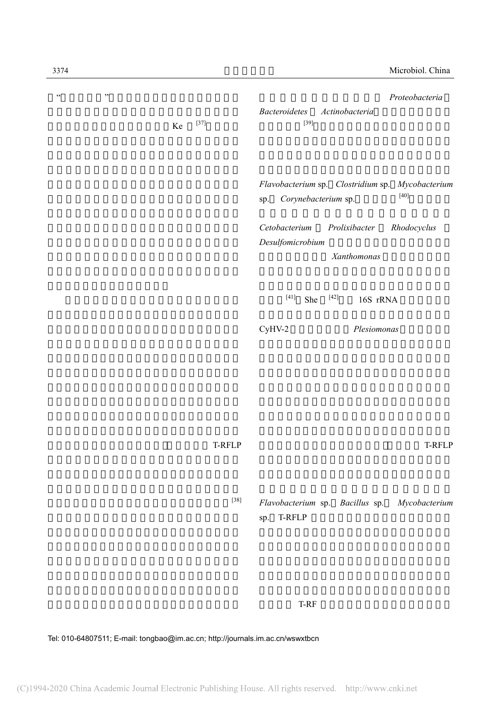| $\zeta\,\zeta$ | $, ,$ | Ke | $[37]$        | Proteobacteria<br><b>Bacteroidetes</b><br>Actinobacteria<br>$[39]$                       |
|----------------|-------|----|---------------|------------------------------------------------------------------------------------------|
|                |       |    |               | Flavobacterium sp. Clostridium sp. Mycobacterium<br>$[40]$<br>Corynebacterium sp.<br>sp. |
|                |       |    |               | Cetobacterium<br>Prolixibacter<br>Rhodocyclus<br>Desulfomicrobium<br>Xanthomonas         |
|                |       |    |               | $[41]$<br>$[42]$<br>She<br>16S rRNA                                                      |
|                |       |    |               | $CyHV-2$<br>Plesiomonas                                                                  |
|                |       |    |               |                                                                                          |
|                |       |    | <b>T-RFLP</b> | T-RFLP                                                                                   |
|                |       |    | $[38]$        | Flavobacterium sp. Bacillus sp.<br>Mycobacterium<br>sp. T-RFLP                           |

T-RF  $\blacksquare$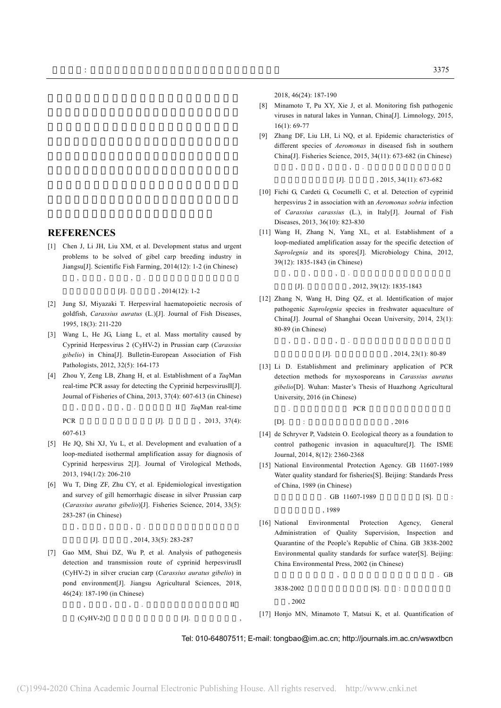2018, 46(24): 187-190

- [8] Minamoto T, Pu XY, Xie J, et al. Monitoring fish pathogenic viruses in natural lakes in Yunnan, China[J]. Limnology, 2015, 16(1): 69-77
- [9] Zhang DF, Liu LH, Li NQ, et al. Epidemic characteristics of different species of *Aeromonas* in diseased fish in southern China[J]. Fisheries Science, 2015, 34(11): 673-682 (in Chinese) 张德锋, 刘礼辉, 李宁求, . 我国南方地区鱼源气单胞菌

 $[J]$ .  $, 2015, 34(11)$ : 673-682

- [10] Fichi G, Cardeti G, Cocumelli C, et al. Detection of cyprinid herpesvirus 2 in association with an *Aeromonas sobria* infection of *Carassius carassius* (L.), in Italy[J]. Journal of Fish Diseases, 2013, 36(10): 823-830
- [11] Wang H, Zhang N, Yang XL, et al. Establishment of a loop-mediated amplification assay for the specific detection of *Saprolegnia* and its spores[J]. Microbiology China, 2012, 39(12): 1835-1843 (in Chinese)
- [J].  $, 2012, 39(12): 1835-1843$ [12] Zhang N, Wang H, Ding QZ, et al. Identification of major

王浩, 张楠, 杨先乐, . 水霉菌环介导等温扩增检测方法

pathogenic *Saprolegnia* species in freshwater aquaculture of China[J]. Journal of Shanghai Ocean University, 2014, 23(1): 80-89 (in Chinese)

## 张楠, 王浩, 丁庆忠, . 我国淡水养殖动物主要致病性水  $[J]$ .  $, 2014, 23(1): 80-89$

[13] Li D. Establishment and preliminary application of PCR detection methods for myxosporeans in *Carassius auratus gibelio*[D]. Wuhan: Master's Thesis of Huazhong Agricultural University, 2016 (in Chinese)

子. **PCR** 

 $[D]$ . : , 2016

- [14] de Schryver P, Vadstein O. Ecological theory as a foundation to control pathogenic invasion in aquaculture[J]. The ISME Journal, 2014, 8(12): 2360-2368
- [15] National Environmental Protection Agency. GB 11607-1989 Water quality standard for fisheries[S]. Beijing: Standards Press of China, 1989 (in Chinese)

$$
\begin{array}{cccc}\n\text{GB} & 11607-1989 \\
\text{C3} & & \\
\text{C4} & & \\
\end{array}
$$

中国标准出版社, 1989

[16] National Environmental Protection Agency, General Administration of Quality Supervision, Inspection and Quarantine of the People's Republic of China. GB 3838-2002 Environmental quality standards for surface water[S]. Beijing: China Environmental Press, 2002 (in Chinese)

 $\mathcal{B}$  , and the set of the set of the set of the set of the set of the set of the set of the set of the set of the set of the set of the set of the set of the set of the set of the set of the set of the set of the set 3838-2002 [S]. : 版社, 2002

[17] Honjo MN, Minamoto T, Matsui K, et al. Quantification of

Tel: 010-64807511; E-mail: tongbao@im.ac.cn; http://journals.im.ac.cn/wswxtbcn

**REFERENCES** 

[1] Chen J, Li JH, Liu XM, et al. Development status and urgent problems to be solved of gibel carp breeding industry in Jiangsu[J]. Scientific Fish Farming, 2014(12): 1-2 (in Chinese)

陈静, 李婧慧, 刘训猛, . 江苏鲫鱼养殖产业发展现状与

 $[J]$ . 2014(12): 1-2

- [2] Jung SJ, Miyazaki T. Herpesviral haematopoietic necrosis of goldfish, *Carassius auratus* (L.)[J]. Journal of Fish Diseases, 1995, 18(3): 211-220
- [3] Wang L, He JG, Liang L, et al. Mass mortality caused by Cyprinid Herpesvirus 2 (CyHV-2) in Prussian carp (*Carassius gibelio*) in China[J]. Bulletin-European Association of Fish Pathologists, 2012, 32(5): 164-173
- [4] Zhou Y, Zeng LB, Zhang H, et al. Establishment of a *Taq*Man real-time PCR assay for detecting the Cyprinid herpesvirusⅡ[J]. Journal of Fisheries of China, 2013, 37(4): 607-613 (in Chinese)

周勇, 曾令兵, 张辉, . 鲤疱疹病毒 II *Taq*Man real-time PCR  $[J]$ .  $, 2013, 37(4)$ :

607-613

- [5] He JQ, Shi XJ, Yu L, et al. Development and evaluation of a loop-mediated isothermal amplification assay for diagnosis of Cyprinid herpesvirus 2[J]. Journal of Virological Methods, 2013, 194(1/2): 206-210
- [6] Wu T, Ding ZF, Zhu CY, et al. Epidemiological investigation and survey of gill hemorrhagic disease in silver Prussian carp (*Carassius auratus gibelio*)[J]. Fisheries Science, 2014, 33(5): 283-287 (in Chinese)

 $\,$ , , , , , .

 $[J]$ .  $2014, 33(5)$ : 283-287

[7] Gao MM, Shui DZ, Wu P, et al. Analysis of pathogenesis detection and transmission route of cyprinid herpesvirusⅡ (CyHV-2) in silver crucian carp (*Carassius auratus gibelio*) in pond environment[J]. Jiangsu Agricultural Sciences, 2018, 46(24): 187-190 (in Chinese)

and the set of the set of the set of the  $\Pi$  $(CyHV-2)$  [J].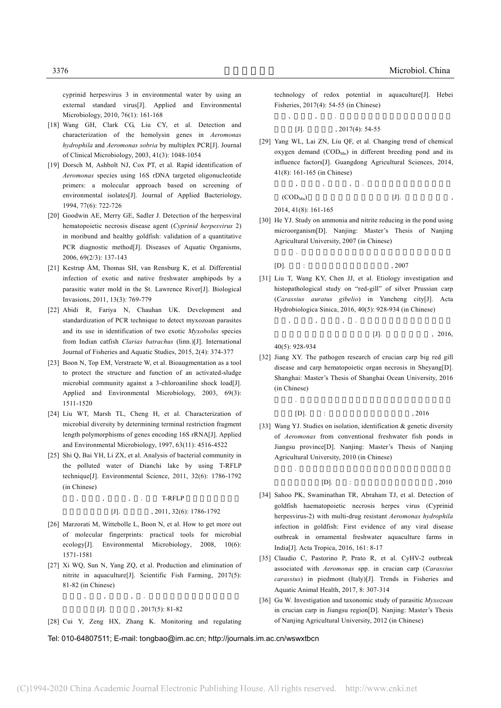cyprinid herpesvirus 3 in environmental water by using an external standard virus[J]. Applied and Environmental Microbiology, 2010, 76(1): 161-168

- [18] Wang GH, Clark CG, Liu CY, et al. Detection and characterization of the hemolysin genes in *Aeromonas hydrophila* and *Aeromonas sobria* by multiplex PCR[J]. Journal of Clinical Microbiology, 2003, 41(3): 1048-1054
- [19] Dorsch M, Ashbolt NJ, Cox PT, et al. Rapid identification of *Aeromonas* species using 16S rDNA targeted oligonucleotide primers: a molecular approach based on screening of environmental isolates[J]. Journal of Applied Bacteriology, 1994, 77(6): 722-726
- [20] Goodwin AE, Merry GE, Sadler J. Detection of the herpesviral hematopoietic necrosis disease agent (*Cyprinid herpesvirus* 2) in moribund and healthy goldfish: validation of a quantitative PCR diagnostic method[J]. Diseases of Aquatic Organisms, 2006, 69(2/3): 137-143
- [21] Kestrup ÅM, Thomas SH, van Rensburg K, et al. Differential infection of exotic and native freshwater amphipods by a parasitic water mold in the St. Lawrence River[J]. Biological Invasions, 2011, 13(3): 769-779
- [22] Abidi R, Fariya N, Chauhan UK. Development and standardization of PCR technique to detect myxozoan parasites and its use in identification of two exotic *Myxobolus* species from Indian catfish *Clarias batrachus* (linn.)[J]. International Journal of Fisheries and Aquatic Studies, 2015, 2(4): 374-377
- [23] Boon N, Top EM, Verstraete W, et al. Bioaugmentation as a tool to protect the structure and function of an activated-sludge microbial community against a 3-chloroaniline shock load[J]. Applied and Environmental Microbiology, 2003, 69(3): 1511-1520
- [24] Liu WT, Marsh TL, Cheng H, et al. Characterization of microbial diversity by determining terminal restriction fragment length polymorphisms of genes encoding 16S rRNA[J]. Applied and Environmental Microbiology, 1997, 63(11): 4516-4522
- [25] Shi Q, Bai YH, Li ZX, et al. Analysis of bacterial community in the polluted water of Dianchi lake by using T-RFLP technique[J]. Environmental Science, 2011, 32(6): 1786-1792 (in Chinese)

#### T-RFLP

#### $[J]$ . 2011, 32(6): 1786-1792

- [26] Marzorati M, Wittebolle L, Boon N, et al. How to get more out of molecular fingerprints: practical tools for microbial ecology[J]. Environmental Microbiology, 2008, 10(6): 1571-1581
- [27] Xi WQ, Sun N, Yang ZQ, et al. Production and elimination of nitrite in aquaculture[J]. Scientific Fish Farming, 2017(5): 81-82 (in Chinese)

席文秋, 孙娜, 杨占全, . 水产养殖中亚硝酸盐的产生及  $[J]$ .  $, 2017(5): 81-82$ 

[28] Cui Y, Zeng HX, Zhang K. Monitoring and regulating

Tel: 010-64807511; E-mail: tongbao@im.ac.cn; http://journals.im.ac.cn/wswxtbcn

technology of redox potential in aquaculture[J]. Hebei Fisheries, 2017(4): 54-55 (in Chinese)

$$
\begin{array}{cccc}\n, & & \cdot \\
\text{[J]} & & & \cdot \\
 & & & \cdot \\
\end{array}
$$

[29] Yang WL, Lai ZN, Liu QF, et al. Changing trend of chemical oxygen demand  $(COD<sub>MD</sub>)$  in different breeding pond and its influence factors[J]. Guangdong Agricultural Sciences, 2014, 41(8): 161-165 (in Chinese)

$$
,\qquad,\qquad,\qquad,\qquad.
$$
 (COD<sub>Min</sub>)  $[J].$ 

2014, 41(8): 161-165

[30] He YJ. Study on ammonia and nitrite reducing in the pond using microorganism[D]. Nanjing: Master's Thesis of Nanjing Agricultural University, 2007 (in Chinese)

何义进. 微生态制剂降解养殖水体氨氮及亚硝酸盐的研究

$$
[D]. \qquad : \qquad \qquad , 2007
$$

[31] Liu T, Wang KY, Chen JJ, et al. Etiology investigation and histopathological study on "red-gill" of silver Prussian carp (*Carassius auratus gibelio*) in Yancheng city[J]. Acta Hydrobiologica Sinica, 2016, 40(5): 928-934 (in Chinese)

 $[J].$  , 2016,

 $\,$  , .  $\,$  , .  $\,$ 

40(5): 928-934

[32] Jiang XY. The pathogen research of crucian carp big red gill disease and carp hematopoietic organ necrosis in Sheyang[D]. Shanghai: Master's Thesis of Shanghai Ocean University, 2016 (in Chinese)

$$
[D]. \qquad \qquad , 2016
$$

[33] Wang YJ. Studies on isolation, identification & genetic diversity of *Aeromonas* from conventional freshwater fish ponds in Jiangsu province[D]. Nanjing: Master's Thesis of Nanjing Agricultural University, 2010 (in Chinese)

王一娟. 江苏地区大宗淡水鱼养殖池塘气单胞菌分离、鉴定和

 $[D]$ . : , 2010

- [34] Sahoo PK, Swaminathan TR, Abraham TJ, et al. Detection of goldfish haematopoietic necrosis herpes virus (Cyprinid herpesvirus-2) with multi-drug resistant *Aeromonas hydrophila* infection in goldfish: First evidence of any viral disease outbreak in ornamental freshwater aquaculture farms in India[J]. Acta Tropica, 2016, 161: 8-17
- [35] Claudio C, Pastorino P, Prato R, et al. CyHV-2 outbreak associated with *Aeromonas* spp. in crucian carp (*Carassius carassius*) in piedmont (Italy)[J]. Trends in Fisheries and Aquatic Animal Health, 2017, 8: 307-314
- [36] Gu W. Investigation and taxonomic study of parasitic *Myxozoan* in crucian carp in Jiangsu region[D]. Nanjing: Master's Thesis of Nanjing Agricultural University, 2012 (in Chinese)